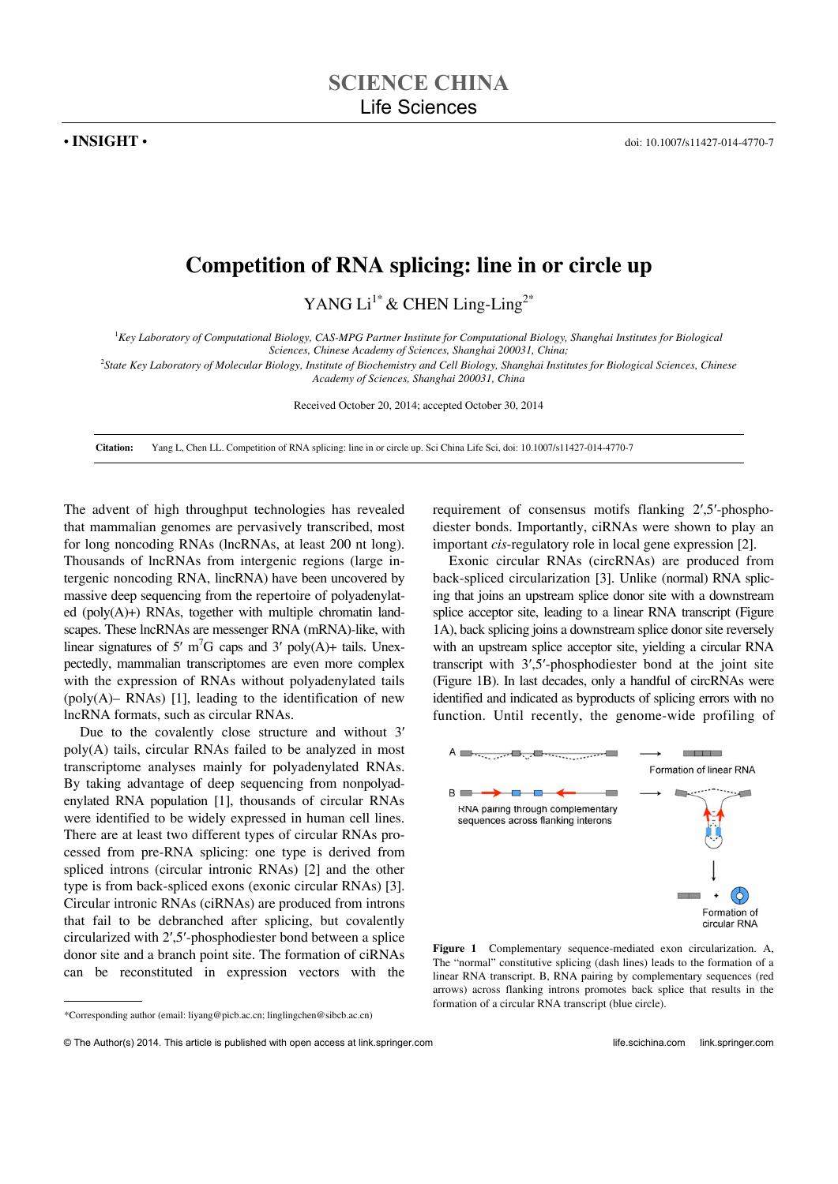## **Competition of RNA splicing: line in or circle up**

YANG Li<sup>1\*</sup> & CHEN Ling-Ling<sup>2\*</sup>

<sup>1</sup>Key Laboratory of Computational Biology, CAS-MPG Partner Institute for Computational Biology, Shanghai Institutes for Biological

*Sciences, Chinese Academy of Sciences, Shanghai 200031, China;* 

2 *State Key Laboratory of Molecular Biology, Institute of Biochemistry and Cell Biology, Shanghai Institutes for Biological Sciences, Chinese Academy of Sciences, Shanghai 200031, China* 

Received October 20, 2014; accepted October 30, 2014

**Citation:** Yang L, Chen LL. Competition of RNA splicing: line in or circle up. Sci China Life Sci, doi: 10.1007/s11427-014-4770-7

The advent of high throughput technologies has revealed that mammalian genomes are pervasively transcribed, most for long noncoding RNAs (lncRNAs, at least 200 nt long). Thousands of lncRNAs from intergenic regions (large intergenic noncoding RNA, lincRNA) have been uncovered by massive deep sequencing from the repertoire of polyadenylated (poly(A)+) RNAs, together with multiple chromatin landscapes. These lncRNAs are messenger RNA (mRNA)-like, with linear signatures of 5'  $m<sup>7</sup>G$  caps and 3' poly(A)+ tails. Unexpectedly, mammalian transcriptomes are even more complex with the expression of RNAs without polyadenylated tails (poly $(A)$ – RNAs) [1], leading to the identification of new lncRNA formats, such as circular RNAs.

Due to the covalently close structure and without 3′ poly(A) tails, circular RNAs failed to be analyzed in most transcriptome analyses mainly for polyadenylated RNAs. By taking advantage of deep sequencing from nonpolyadenylated RNA population [1], thousands of circular RNAs were identified to be widely expressed in human cell lines. There are at least two different types of circular RNAs processed from pre-RNA splicing: one type is derived from spliced introns (circular intronic RNAs) [2] and the other type is from back-spliced exons (exonic circular RNAs) [3]. Circular intronic RNAs (ciRNAs) are produced from introns that fail to be debranched after splicing, but covalently circularized with 2′,5′-phosphodiester bond between a splice donor site and a branch point site. The formation of ciRNAs can be reconstituted in expression vectors with the

requirement of consensus motifs flanking 2′,5′-phosphodiester bonds. Importantly, ciRNAs were shown to play an important *cis*-regulatory role in local gene expression [2].

Exonic circular RNAs (circRNAs) are produced from back-spliced circularization [3]. Unlike (normal) RNA splicing that joins an upstream splice donor site with a downstream splice acceptor site, leading to a linear RNA transcript (Figure 1A), back splicing joins a downstream splice donor site reversely with an upstream splice acceptor site, yielding a circular RNA transcript with 3′,5′-phosphodiester bond at the joint site (Figure 1B). In last decades, only a handful of circRNAs were identified and indicated as byproducts of splicing errors with no function. Until recently, the genome-wide profiling of



**Figure 1** Complementary sequence-mediated exon circularization. A, The "normal" constitutive splicing (dash lines) leads to the formation of a linear RNA transcript. B, RNA pairing by complementary sequences (red arrows) across flanking introns promotes back splice that results in the formation of a circular RNA transcript (blue circle).

 $\overline{a}$ 

<sup>\*</sup>Corresponding author (email: liyang@picb.ac.cn; linglingchen@sibcb.ac.cn)

<sup>©</sup> The Author(s) 2014. This article is published with open access at link.springer.com life.scichina.com link.springer.com